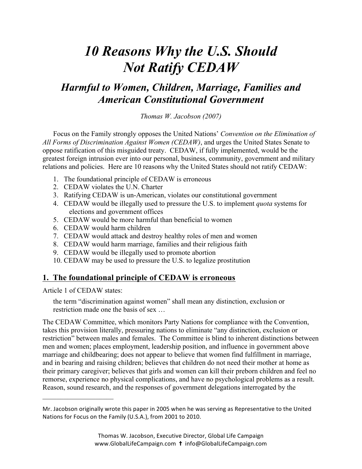# *10 Reasons Why the U.S. Should Not Ratify CEDAW*

# *Harmful to Women, Children, Marriage, Families and American Constitutional Government*

*Thomas W. Jacobson (2007)* 

Focus on the Family strongly opposes the United Nations' *Convention on the Elimination of All Forms of Discrimination Against Women (CEDAW)*, and urges the United States Senate to oppose ratification of this misguided treaty. CEDAW, if fully implemented, would be the greatest foreign intrusion ever into our personal, business, community, government and military relations and policies. Here are 10 reasons why the United States should not ratify CEDAW:

- 1. The foundational principle of CEDAW is erroneous
- 2. CEDAW violates the U.N. Charter
- 3. Ratifying CEDAW is un-American, violates our constitutional government
- 4. CEDAW would be illegally used to pressure the U.S. to implement *quota* systems for elections and government offices
- 5. CEDAW would be more harmful than beneficial to women
- 6. CEDAW would harm children
- 7. CEDAW would attack and destroy healthy roles of men and women
- 8. CEDAW would harm marriage, families and their religious faith
- 9. CEDAW would be illegally used to promote abortion
- 10. CEDAW may be used to pressure the U.S. to legalize prostitution

# **1. The foundational principle of CEDAW is erroneous**

Article 1 of CEDAW states:

 $\mathcal{L}_\text{max}$  , where  $\mathcal{L}_\text{max}$  , we have the set of the set of the set of the set of the set of the set of the set of the set of the set of the set of the set of the set of the set of the set of the set of the set of

the term "discrimination against women" shall mean any distinction, exclusion or restriction made one the basis of sex …

The CEDAW Committee, which monitors Party Nations for compliance with the Convention, takes this provision literally, pressuring nations to eliminate "any distinction, exclusion or restriction" between males and females. The Committee is blind to inherent distinctions between men and women; places employment, leadership position, and influence in government above marriage and childbearing; does not appear to believe that women find fulfillment in marriage, and in bearing and raising children; believes that children do not need their mother at home as their primary caregiver; believes that girls and women can kill their preborn children and feel no remorse, experience no physical complications, and have no psychological problems as a result. Reason, sound research, and the responses of government delegations interrogated by the

Mr. Jacobson originally wrote this paper in 2005 when he was serving as Representative to the United Nations for Focus on the Family (U.S.A.), from 2001 to 2010.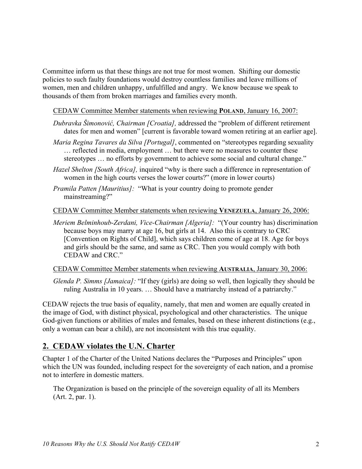Committee inform us that these things are not true for most women. Shifting our domestic policies to such faulty foundations would destroy countless families and leave millions of women, men and children unhappy, unfulfilled and angry. We know because we speak to thousands of them from broken marriages and families every month.

#### CEDAW Committee Member statements when reviewing **POLAND**, January 16, 2007:

- *Dubravka Šimonović, Chairman [Croatia],* addressed the "problem of different retirement dates for men and women" [current is favorable toward women retiring at an earlier age].
- *Maria Regina Tavares da Silva [Portugal]*, commented on "stereotypes regarding sexuality … reflected in media, employment … but there were no measures to counter these stereotypes … no efforts by government to achieve some social and cultural change."
- *Hazel Shelton [South Africa],* inquired "why is there such a difference in representation of women in the high courts verses the lower courts?" (more in lower courts)
- *Pramila Patten [Mauritius]:* "What is your country doing to promote gender mainstreaming?"

CEDAW Committee Member statements when reviewing **VENEZUELA**, January 26, 2006:

*Meriem Belminhoub-Zerdani, Vice-Chairman [Algeria]:* "(Your country has) discrimination because boys may marry at age 16, but girls at 14. Also this is contrary to CRC [Convention on Rights of Child], which says children come of age at 18. Age for boys and girls should be the same, and same as CRC. Then you would comply with both CEDAW and CRC."

#### CEDAW Committee Member statements when reviewing **AUSTRALIA**, January 30, 2006:

*Glenda P. Simms [Jamaica]:* "If they (girls) are doing so well, then logically they should be ruling Australia in 10 years. … Should have a matriarchy instead of a patriarchy."

CEDAW rejects the true basis of equality, namely, that men and women are equally created in the image of God, with distinct physical, psychological and other characteristics. The unique God-given functions or abilities of males and females, based on these inherent distinctions (e.g., only a woman can bear a child), are not inconsistent with this true equality.

# **2. CEDAW violates the U.N. Charter**

Chapter 1 of the Charter of the United Nations declares the "Purposes and Principles" upon which the UN was founded, including respect for the sovereignty of each nation, and a promise not to interfere in domestic matters.

The Organization is based on the principle of the sovereign equality of all its Members (Art. 2, par. 1).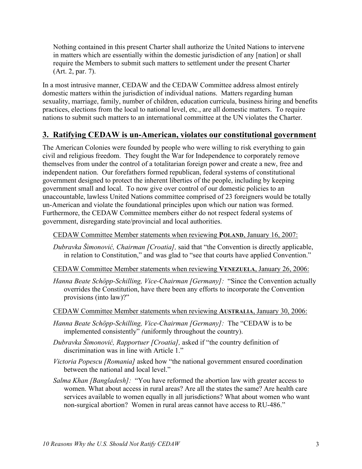Nothing contained in this present Charter shall authorize the United Nations to intervene in matters which are essentially within the domestic jurisdiction of any [nation] or shall require the Members to submit such matters to settlement under the present Charter (Art. 2, par. 7).

In a most intrusive manner, CEDAW and the CEDAW Committee address almost entirely domestic matters within the jurisdiction of individual nations. Matters regarding human sexuality, marriage, family, number of children, education curricula, business hiring and benefits practices, elections from the local to national level, etc., are all domestic matters. To require nations to submit such matters to an international committee at the UN violates the Charter.

# **3. Ratifying CEDAW is un-American, violates our constitutional government**

The American Colonies were founded by people who were willing to risk everything to gain civil and religious freedom. They fought the War for Independence to corporately remove themselves from under the control of a totalitarian foreign power and create a new, free and independent nation. Our forefathers formed republican, federal systems of constitutional government designed to protect the inherent liberties of the people, including by keeping government small and local. To now give over control of our domestic policies to an unaccountable, lawless United Nations committee comprised of 23 foreigners would be totally un-American and violate the foundational principles upon which our nation was formed. Furthermore, the CEDAW Committee members either do not respect federal systems of government, disregarding state/provincial and local authorities.

CEDAW Committee Member statements when reviewing **POLAND**, January 16, 2007:

- *Dubravka Šimonović, Chairman [Croatia],* said that "the Convention is directly applicable, in relation to Constitution," and was glad to "see that courts have applied Convention."
- CEDAW Committee Member statements when reviewing **VENEZUELA**, January 26, 2006:
- *Hanna Beate Schöpp-Schilling, Vice-Chairman [Germany]:* "Since the Convention actually overrides the Constitution, have there been any efforts to incorporate the Convention provisions (into law)?"
- CEDAW Committee Member statements when reviewing **AUSTRALIA**, January 30, 2006:
- *Hanna Beate Schöpp-Schilling, Vice-Chairman [Germany]:* The "CEDAW is to be implemented consistently" *(*uniformly throughout the country).
- *Dubravka Šimonović, Rapportuer [Croatia],* asked if "the country definition of discrimination was in line with Article 1."
- *Victoria Popescu [Romania]* asked how "the national government ensured coordination between the national and local level."
- *Salma Khan [Bangladesh]:* "You have reformed the abortion law with greater access to women. What about access in rural areas? Are all the states the same? Are health care services available to women equally in all jurisdictions? What about women who want non-surgical abortion? Women in rural areas cannot have access to RU-486."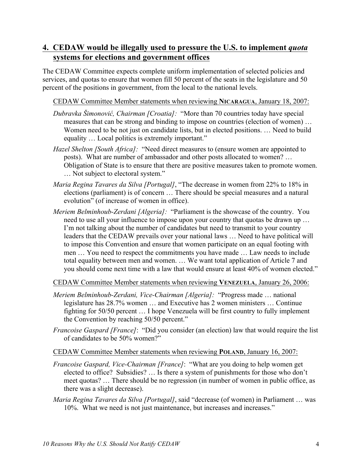# **4. CEDAW would be illegally used to pressure the U.S. to implement** *quota* **systems for elections and government offices**

The CEDAW Committee expects complete uniform implementation of selected policies and services, and quotas to ensure that women fill 50 percent of the seats in the legislature and 50 percent of the positions in government, from the local to the national levels.

#### CEDAW Committee Member statements when reviewing **NICARAGUA**, January 18, 2007:

- *Dubravka Šimonović, Chairman [Croatia]:* "More than 70 countries today have special measures that can be strong and binding to impose on countries (election of women) … Women need to be not just on candidate lists, but in elected positions. … Need to build equality … Local politics is extremely important."
- *Hazel Shelton [South Africa]:* "Need direct measures to (ensure women are appointed to posts). What are number of ambassador and other posts allocated to women? … Obligation of State is to ensure that there are positive measures taken to promote women. … Not subject to electoral system."
- *Maria Regina Tavares da Silva [Portugal]*, "The decrease in women from 22% to 18% in elections (parliament) is of concern … There should be special measures and a natural evolution" (of increase of women in office).
- *Meriem Belminhoub-Zerdani [Algeria]:* "Parliament is the showcase of the country. You need to use all your influence to impose upon your country that quotas be drawn up … I'm not talking about the number of candidates but need to transmit to your country leaders that the CEDAW prevails over your national laws … Need to have political will to impose this Convention and ensure that women participate on an equal footing with men … You need to respect the commitments you have made … Law needs to include total equality between men and women. … We want total application of Article 7 and you should come next time with a law that would ensure at least 40% of women elected."

CEDAW Committee Member statements when reviewing **VENEZUELA**, January 26, 2006:

- *Meriem Belminhoub-Zerdani, Vice-Chairman [Algeria]:* "Progress made … national legislature has 28.7% women … and Executive has 2 women ministers … Continue fighting for 50/50 percent … I hope Venezuela will be first country to fully implement the Convention by reaching 50/50 percent."
- *Francoise Gaspard [France]*: "Did you consider (an election) law that would require the list of candidates to be 50% women?"

#### CEDAW Committee Member statements when reviewing **POLAND**, January 16, 2007:

- *Francoise Gaspard, Vice-Chairman [France]*: "What are you doing to help women get elected to office? Subsidies? … Is there a system of punishments for those who don't meet quotas? … There should be no regression (in number of women in public office, as there was a slight decrease).
- *Maria Regina Tavares da Silva [Portugal]*, said "decrease (of women) in Parliament … was 10%. What we need is not just maintenance, but increases and increases."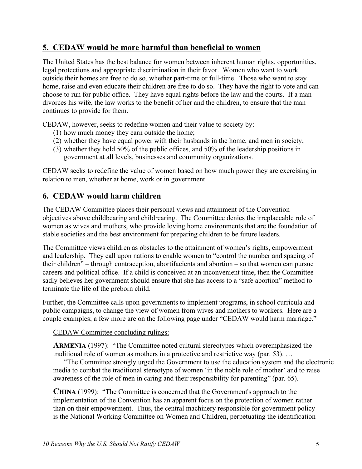#### **5. CEDAW would be more harmful than beneficial to women**

The United States has the best balance for women between inherent human rights, opportunities, legal protections and appropriate discrimination in their favor. Women who want to work outside their homes are free to do so, whether part-time or full-time. Those who want to stay home, raise and even educate their children are free to do so. They have the right to vote and can choose to run for public office. They have equal rights before the law and the courts. If a man divorces his wife, the law works to the benefit of her and the children, to ensure that the man continues to provide for them.

CEDAW, however, seeks to redefine women and their value to society by:

- (1) how much money they earn outside the home;
- (2) whether they have equal power with their husbands in the home, and men in society;
- (3) whether they hold 50% of the public offices, and 50% of the leadership positions in government at all levels, businesses and community organizations.

CEDAW seeks to redefine the value of women based on how much power they are exercising in relation to men, whether at home, work or in government.

# **6. CEDAW would harm children**

The CEDAW Committee places their personal views and attainment of the Convention objectives above childbearing and childrearing. The Committee denies the irreplaceable role of women as wives and mothers, who provide loving home environments that are the foundation of stable societies and the best environment for preparing children to be future leaders.

The Committee views children as obstacles to the attainment of women's rights, empowerment and leadership. They call upon nations to enable women to "control the number and spacing of their children" – through contraception, abortifacients and abortion – so that women can pursue careers and political office. If a child is conceived at an inconvenient time, then the Committee sadly believes her government should ensure that she has access to a "safe abortion" method to terminate the life of the preborn child.

Further, the Committee calls upon governments to implement programs, in school curricula and public campaigns, to change the view of women from wives and mothers to workers. Here are a couple examples; a few more are on the following page under "CEDAW would harm marriage."

CEDAW Committee concluding rulings:

**ARMENIA** (1997): "The Committee noted cultural stereotypes which overemphasized the traditional role of women as mothers in a protective and restrictive way (par. 53). …

"The Committee strongly urged the Government to use the education system and the electronic media to combat the traditional stereotype of women 'in the noble role of mother' and to raise awareness of the role of men in caring and their responsibility for parenting" (par. 65).

**CHINA** (1999): "The Committee is concerned that the Government's approach to the implementation of the Convention has an apparent focus on the protection of women rather than on their empowerment. Thus, the central machinery responsible for government policy is the National Working Committee on Women and Children, perpetuating the identification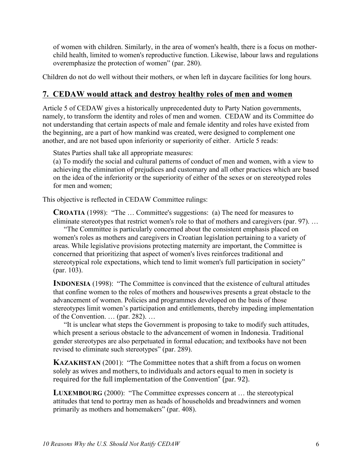of women with children. Similarly, in the area of women's health, there is a focus on motherchild health, limited to women's reproductive function. Likewise, labour laws and regulations overemphasize the protection of women" (par. 280).

Children do not do well without their mothers, or when left in daycare facilities for long hours.

#### **7. CEDAW would attack and destroy healthy roles of men and women**

Article 5 of CEDAW gives a historically unprecedented duty to Party Nation governments, namely, to transform the identity and roles of men and women. CEDAW and its Committee do not understanding that certain aspects of male and female identity and roles have existed from the beginning, are a part of how mankind was created, were designed to complement one another, and are not based upon inferiority or superiority of either. Article 5 reads:

States Parties shall take all appropriate measures:

(a) To modify the social and cultural patterns of conduct of men and women, with a view to achieving the elimination of prejudices and customary and all other practices which are based on the idea of the inferiority or the superiority of either of the sexes or on stereotyped roles for men and women;

This objective is reflected in CEDAW Committee rulings:

**CROATIA** (1998): "The … Committee's suggestions: (a) The need for measures to eliminate stereotypes that restrict women's role to that of mothers and caregivers (par. 97). …

"The Committee is particularly concerned about the consistent emphasis placed on women's roles as mothers and caregivers in Croatian legislation pertaining to a variety of areas. While legislative provisions protecting maternity are important, the Committee is concerned that prioritizing that aspect of women's lives reinforces traditional and stereotypical role expectations, which tend to limit women's full participation in society" (par. 103).

**INDONESIA** (1998): "The Committee is convinced that the existence of cultural attitudes that confine women to the roles of mothers and housewives presents a great obstacle to the advancement of women. Policies and programmes developed on the basis of those stereotypes limit women's participation and entitlements, thereby impeding implementation of the Convention. … (par. 282). …

"It is unclear what steps the Government is proposing to take to modify such attitudes, which present a serious obstacle to the advancement of women in Indonesia. Traditional gender stereotypes are also perpetuated in formal education; and textbooks have not been revised to eliminate such stereotypes" (par. 289).

**KAZAKHSTAN** (2001): "The Committee notes that a shift from a focus on women solely as wives and mothers, to individuals and actors equal to men in society is required for the full implementation of the Convention" (par. 92).

**LUXEMBOURG** (2000): "The Committee expresses concern at … the stereotypical attitudes that tend to portray men as heads of households and breadwinners and women primarily as mothers and homemakers" (par. 408).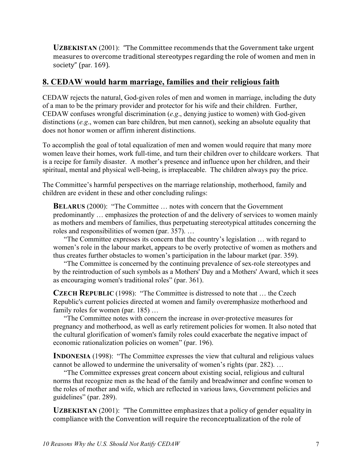**UZBEKISTAN** (2001): "The Committee recommends that the Government take urgent measures to overcome traditional stereotypes regarding the role of women and men in society" (par. 169).

# **8. CEDAW would harm marriage, families and their religious faith**

CEDAW rejects the natural, God-given roles of men and women in marriage, including the duty of a man to be the primary provider and protector for his wife and their children. Further, CEDAW confuses wrongful discrimination (*e.g*., denying justice to women) with God-given distinctions (*e.g*., women can bare children, but men cannot), seeking an absolute equality that does not honor women or affirm inherent distinctions.

To accomplish the goal of total equalization of men and women would require that many more women leave their homes, work full-time, and turn their children over to childcare workers. That is a recipe for family disaster. A mother's presence and influence upon her children, and their spiritual, mental and physical well-being, is irreplaceable. The children always pay the price.

The Committee's harmful perspectives on the marriage relationship, motherhood, family and children are evident in these and other concluding rulings:

**BELARUS** (2000): "The Committee ... notes with concern that the Government predominantly … emphasizes the protection of and the delivery of services to women mainly as mothers and members of families, thus perpetuating stereotypical attitudes concerning the roles and responsibilities of women (par. 357). …

"The Committee expresses its concern that the country's legislation … with regard to women's role in the labour market, appears to be overly protective of women as mothers and thus creates further obstacles to women's participation in the labour market (par. 359).

"The Committee is concerned by the continuing prevalence of sex-role stereotypes and by the reintroduction of such symbols as a Mothers' Day and a Mothers' Award, which it sees as encouraging women's traditional roles" (par. 361).

**CZECH REPUBLIC** (1998): "The Committee is distressed to note that … the Czech Republic's current policies directed at women and family overemphasize motherhood and family roles for women (par. 185) ...

"The Committee notes with concern the increase in over-protective measures for pregnancy and motherhood, as well as early retirement policies for women. It also noted that the cultural glorification of women's family roles could exacerbate the negative impact of economic rationalization policies on women" (par. 196).

**INDONESIA** (1998): "The Committee expresses the view that cultural and religious values cannot be allowed to undermine the universality of women's rights (par. 282). …

"The Committee expresses great concern about existing social, religious and cultural norms that recognize men as the head of the family and breadwinner and confine women to the roles of mother and wife, which are reflected in various laws, Government policies and guidelines" (par. 289).

**UZBEKISTAN** (2001): "The Committee emphasizes that a policy of gender equality in compliance with the Convention will require the reconceptualization of the role of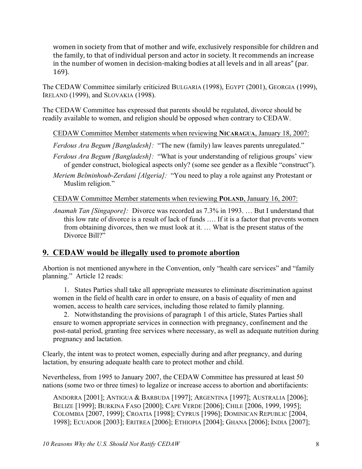women in society from that of mother and wife, exclusively responsible for children and the family, to that of individual person and actor in society. It recommends an increase in the number of women in decision-making bodies at all levels and in all areas" (par. 169).

The CEDAW Committee similarly criticized BULGARIA (1998), EGYPT (2001), GEORGIA (1999), IRELAND (1999), and SLOVAKIA (1998).

The CEDAW Committee has expressed that parents should be regulated, divorce should be readily available to women, and religion should be opposed when contrary to CEDAW.

CEDAW Committee Member statements when reviewing **NICARAGUA**, January 18, 2007:

*Ferdous Ara Begum [Bangladesh]:* "The new (family) law leaves parents unregulated."

- *Ferdous Ara Begum [Bangladesh]:* "What is your understanding of religious groups' view of gender construct, biological aspects only? (some see gender as a flexible "construct").
- *Meriem Belminhoub-Zerdani [Algeria]:* "You need to play a role against any Protestant or Muslim religion."

CEDAW Committee Member statements when reviewing **POLAND**, January 16, 2007:

*Anamah Tan [Singapore]:* Divorce was recorded as 7.3% in 1993. … But I understand that this low rate of divorce is a result of lack of funds …. If it is a factor that prevents women from obtaining divorces, then we must look at it. … What is the present status of the Divorce Bill?"

# **9. CEDAW would be illegally used to promote abortion**

Abortion is not mentioned anywhere in the Convention, only "health care services" and "family planning." Article 12 reads:

1. States Parties shall take all appropriate measures to eliminate discrimination against women in the field of health care in order to ensure, on a basis of equality of men and women, access to health care services, including those related to family planning.

2. Notwithstanding the provisions of paragraph 1 of this article, States Parties shall ensure to women appropriate services in connection with pregnancy, confinement and the post-natal period, granting free services where necessary, as well as adequate nutrition during pregnancy and lactation.

Clearly, the intent was to protect women, especially during and after pregnancy, and during lactation, by ensuring adequate health care to protect mother and child.

Nevertheless, from 1995 to January 2007, the CEDAW Committee has pressured at least 50 nations (some two or three times) to legalize or increase access to abortion and abortifacients:

ANDORRA [2001]; ANTIGUA & BARBUDA [1997]; ARGENTINA [1997]; AUSTRALIA [2006]; BELIZE [1999]; BURKINA FASO [2000]; CAPE VERDE [2006]; CHILE [2006, 1999, 1995]; COLOMBIA [2007, 1999]; CROATIA [1998]; CYPRUS [1996]; DOMINICAN REPUBLIC [2004, 1998]; ECUADOR [2003]; ERITREA [2006]; ETHIOPIA [2004]; GHANA [2006]; INDIA [2007];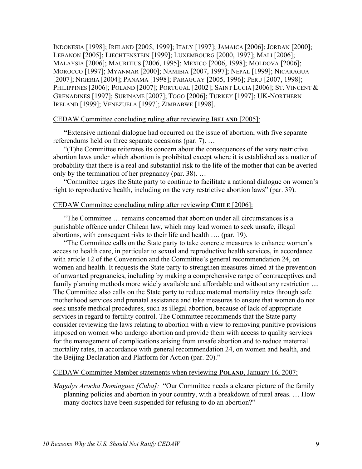INDONESIA [1998]; IRELAND [2005, 1999]; ITALY [1997]; JAMAICA [2006]; JORDAN [2000]; LEBANON [2005]; LIECHTENSTEIN [1999]; LUXEMBOURG [2000, 1997]; MALI [2006]; MALAYSIA [2006]; MAURITIUS [2006, 1995]; MEXICO [2006, 1998]; MOLDOVA [2006]; MOROCCO [1997]; MYANMAR [2000]; NAMIBIA [2007, 1997]; NEPAL [1999]; NICARAGUA [2007]; NIGERIA [2004]; PANAMA [1998]; PARAGUAY [2005, 1996]; PERU [2007, 1998]; PHILIPPINES [2006]; POLAND [2007]; PORTUGAL [2002]; SAINT LUCIA [2006]; ST. VINCENT & GRENADINES [1997]; SURINAME [2007]; TOGO [2006]; TURKEY [1997]; UK-NORTHERN IRELAND [1999]; VENEZUELA [1997]; ZIMBABWE [1998].

#### CEDAW Committee concluding ruling after reviewing **IRELAND** [2005]:

**"**Extensive national dialogue had occurred on the issue of abortion, with five separate referendums held on three separate occasions (par. 7). …

"(T)he Committee reiterates its concern about the consequences of the very restrictive abortion laws under which abortion is prohibited except where it is established as a matter of probability that there is a real and substantial risk to the life of the mother that can be averted only by the termination of her pregnancy (par. 38). …

"Committee urges the State party to continue to facilitate a national dialogue on women's right to reproductive health, including on the very restrictive abortion laws" (par. 39).

#### CEDAW Committee concluding ruling after reviewing **CHILE** [2006]:

"The Committee … remains concerned that abortion under all circumstances is a punishable offence under Chilean law, which may lead women to seek unsafe, illegal abortions, with consequent risks to their life and health …. (par. 19).

"The Committee calls on the State party to take concrete measures to enhance women's access to health care, in particular to sexual and reproductive health services, in accordance with article 12 of the Convention and the Committee's general recommendation 24, on women and health. It requests the State party to strengthen measures aimed at the prevention of unwanted pregnancies, including by making a comprehensive range of contraceptives and family planning methods more widely available and affordable and without any restriction .... The Committee also calls on the State party to reduce maternal mortality rates through safe motherhood services and prenatal assistance and take measures to ensure that women do not seek unsafe medical procedures, such as illegal abortion, because of lack of appropriate services in regard to fertility control. The Committee recommends that the State party consider reviewing the laws relating to abortion with a view to removing punitive provisions imposed on women who undergo abortion and provide them with access to quality services for the management of complications arising from unsafe abortion and to reduce maternal mortality rates, in accordance with general recommendation 24, on women and health, and the Beijing Declaration and Platform for Action (par. 20)."

#### CEDAW Committee Member statements when reviewing **POLAND**, January 16, 2007:

*Magalys Arocha Dominguez [Cuba]:* "Our Committee needs a clearer picture of the family planning policies and abortion in your country, with a breakdown of rural areas. … How many doctors have been suspended for refusing to do an abortion?"